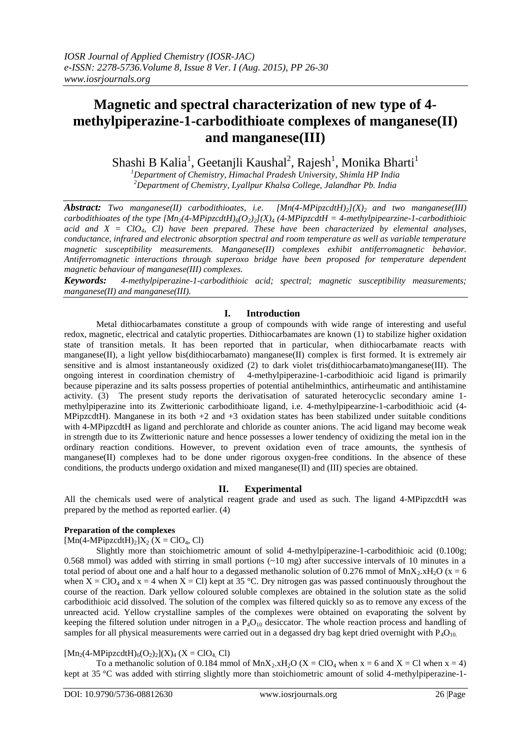# **Magnetic and spectral characterization of new type of 4 methylpiperazine-1-carbodithioate complexes of manganese(II) and manganese(III)**

Shashi B Kalia $^1$ , Geetanjli Kaushal $^2$ , Rajesh $^1$ , Monika Bharti $^1$ 

*<sup>1</sup>Department of Chemistry, Himachal Pradesh University, Shimla HP India <sup>2</sup>Department of Chemistry, Lyallpur Khalsa College, Jalandhar Pb. India*

*Abstract: Two manganese(II) carbodithioates, i.e. [Mn(4-MPipzcdtH)2](X)2 and two manganese(III) carbodithioates of the type*  $[Mn_2(4-MPipzcdtH)_{6}(O_2)_2](X)_4$  *(4-MPipzcdtH = 4-methylpipearzine-1-carbodithioic acid and X = ClO4, Cl) have been prepared. These have been characterized by elemental analyses, conductance, infrared and electronic absorption spectral and room temperature as well as variable temperature magnetic susceptibility measurements. Manganese(II) complexes exhibit antiferromagnetic behavior. Antiferromagnetic interactions through superoxo bridge have been proposed for temperature dependent magnetic behaviour of manganese(III) complexes.*

*Keywords:**4-methylpiperazine-1-carbodithioic acid; spectral; magnetic susceptibility measurements; manganese(II) and manganese(III).*

## **I. Introduction**

Metal dithiocarbamates constitute a group of compounds with wide range of interesting and useful redox, magnetic, electrical and catalytic properties. Dithiocarbamates are known (1) to stabilize higher oxidation state of transition metals. It has been reported that in particular, when dithiocarbamate reacts with manganese(II), a light yellow bis(dithiocarbamato) manganese(II) complex is first formed. It is extremely air sensitive and is almost instantaneously oxidized (2) to dark violet tris(dithiocarbamato)manganese(III). The ongoing interest in coordination chemistry of 4-methylpiperazine-1-carbodithioic acid ligand is primarily because piperazine and its salts possess properties of potential antihelminthics, antirheumatic and antihistamine activity. (3) The present study reports the derivatisation of saturated heterocyclic secondary amine 1 methylpiperazine into its Zwitterionic carbodithioate ligand, i.e. 4-methylpipearzine-1-carbodithioic acid (4- MPipzcdtH). Manganese in its both  $+2$  and  $+3$  oxidation states has been stabilized under suitable conditions with 4-MPipzcdtH as ligand and perchlorate and chloride as counter anions. The acid ligand may become weak in strength due to its Zwitterionic nature and hence possesses a lower tendency of oxidizing the metal ion in the ordinary reaction conditions. However, to prevent oxidation even of trace amounts, the synthesis of manganese(II) complexes had to be done under rigorous oxygen-free conditions. In the absence of these conditions, the products undergo oxidation and mixed manganese(II) and (III) species are obtained.

## **II. Experimental**

All the chemicals used were of analytical reagent grade and used as such. The ligand 4-MPipzcdtH was prepared by the method as reported earlier. (4)

# **Preparation of the complexes**

 $[Mn(4-MPipzcdtH)<sub>2</sub>]X<sub>2</sub>(X = ClO<sub>4</sub>, Cl)$ 

Slightly more than stoichiometric amount of solid 4-methylpiperazine-1-carbodithioic acid (0.100g; 0.568 mmol) was added with stirring in small portions (~10 mg) after successive intervals of 10 minutes in a total period of about one and a half hour to a degassed methanolic solution of 0.276 mmol of  $MnX_2.xH_2O$  ( $x = 6$ ) when  $X = ClO_4$  and  $x = 4$  when  $X = Cl$ ) kept at 35 °C. Dry nitrogen gas was passed continuously throughout the course of the reaction. Dark yellow coloured soluble complexes are obtained in the solution state as the solid carbodithioic acid dissolved. The solution of the complex was filtered quickly so as to remove any excess of the unreacted acid. Yellow crystalline samples of the complexes were obtained on evaporating the solvent by keeping the filtered solution under nitrogen in a  $P_4O_{10}$  desiccator. The whole reaction process and handling of samples for all physical measurements were carried out in a degassed dry bag kept dried overnight with  $P_4O_{10}$ .

 $[Mn_2(4-MPipzcdtH)<sub>6</sub>(O_2)<sub>2</sub>](X)<sub>4</sub> (X = ClO<sub>4</sub>, Cl)$ 

To a methanolic solution of 0.184 mmol of  $MnX_2.H_2O$  (X = ClO<sub>4</sub> when x = 6 and X = Cl when x = 4) kept at 35 °C was added with stirring slightly more than stoichiometric amount of solid 4-methylpiperazine-1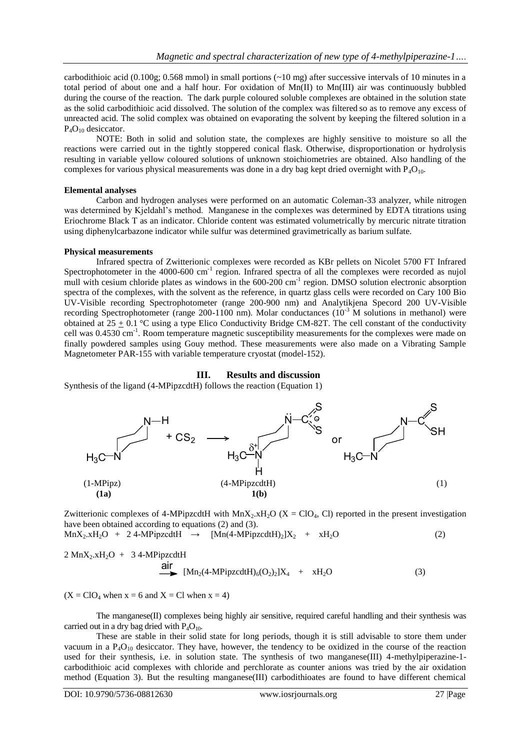carbodithioic acid (0.100g; 0.568 mmol) in small portions  $(\sim 10 \text{ mg})$  after successive intervals of 10 minutes in a total period of about one and a half hour. For oxidation of  $Mn(II)$  to  $Mn(III)$  air was continuously bubbled during the course of the reaction. The dark purple coloured soluble complexes are obtained in the solution state as the solid carbodithioic acid dissolved. The solution of the complex was filtered so as to remove any excess of unreacted acid. The solid complex was obtained on evaporating the solvent by keeping the filtered solution in a  $P_4O_{10}$  desiccator.

NOTE: Both in solid and solution state, the complexes are highly sensitive to moisture so all the reactions were carried out in the tightly stoppered conical flask. Otherwise, disproportionation or hydrolysis resulting in variable yellow coloured solutions of unknown stoichiometries are obtained. Also handling of the complexes for various physical measurements was done in a dry bag kept dried overnight with  $P_4O_{10}$ .

#### **Elemental analyses**

Carbon and hydrogen analyses were performed on an automatic Coleman-33 analyzer, while nitrogen was determined by Kjeldahl's method. Manganese in the complexes was determined by EDTA titrations using Eriochrome Black T as an indicator. Chloride content was estimated volumetrically by mercuric nitrate titration using diphenylcarbazone indicator while sulfur was determined gravimetrically as barium sulfate.

#### **Physical measurements**

Infrared spectra of Zwitterionic complexes were recorded as KBr pellets on Nicolet 5700 FT Infrared Spectrophotometer in the 4000-600 cm<sup>-1</sup> region. Infrared spectra of all the complexes were recorded as nujol mull with cesium chloride plates as windows in the 600-200 cm<sup>-1</sup> region. DMSO solution electronic absorption spectra of the complexes, with the solvent as the reference, in quartz glass cells were recorded on Cary 100 Bio UV-Visible recording Spectrophotometer (range 200-900 nm) and Analytikjena Specord 200 UV-Visible recording Spectrophotometer (range 200-1100 nm). Molar conductances  $(10^{-3}$  M solutions in methanol) were obtained at  $25 \pm 0.1$  °C using a type Elico Conductivity Bridge CM-82T. The cell constant of the conductivity cell was 0.4530 cm<sup>-1</sup>. Room temperature magnetic susceptibility measurements for the complexes were made on finally powdered samples using Gouy method. These measurements were also made on a Vibrating Sample Magnetometer PAR-155 with variable temperature cryostat (model-152).

#### **III. Results and discussion**

Synthesis of the ligand (4-MPipzcdtH) follows the reaction (Equation 1)



Zwitterionic complexes of 4-MPipzcdtH with  $MnX_2.xH_2O$  (X = ClO<sub>4</sub>, Cl) reported in the present investigation have been obtained according to equations (2) and (3).

 $MnX_2.xH_2O + 24-MPipzcdtH \rightarrow [Mn(4-MPipzcdtH)_2]X_2 + xH_2O$  (2)

 $2 \text{ MnX}_2 \cdot \text{xH}_2\text{O} + 34 \cdot \text{MPipzcdtH}$ air<br>Air ann an Dùbhan air an Dùbhan air an Dùbhan an Dùbhan an Dùbhan air an Dùbhan an Dùbhan an Dùbhan an Dùbhan<br>Air an Dùbhan an Dùbhan an Dùbhan an Dùbhan an Dùbhan an Dùbhan an Dùbhan an Dùbhan an Dùbhan an Dùbhan an D

$$
\text{Alf} \quad [\text{Mn}_2(4 \text{-} \text{MPipzcdtH})_6(\text{O}_2)_2]X_4 + xH_2\text{O} \tag{3}
$$

 $(X = CIO<sub>4</sub> when x = 6 and X = Cl when x = 4)$ 

The manganese(II) complexes being highly air sensitive, required careful handling and their synthesis was carried out in a dry bag dried with  $P_4O_{10}$ .

These are stable in their solid state for long periods, though it is still advisable to store them under vacuum in a  $P_4O_{10}$  desiccator. They have, however, the tendency to be oxidized in the course of the reaction used for their synthesis, i.e. in solution state. The synthesis of two manganese(III) 4-methylpiperazine-1carbodithioic acid complexes with chloride and perchlorate as counter anions was tried by the air oxidation method (Equation 3). But the resulting manganese(III) carbodithioates are found to have different chemical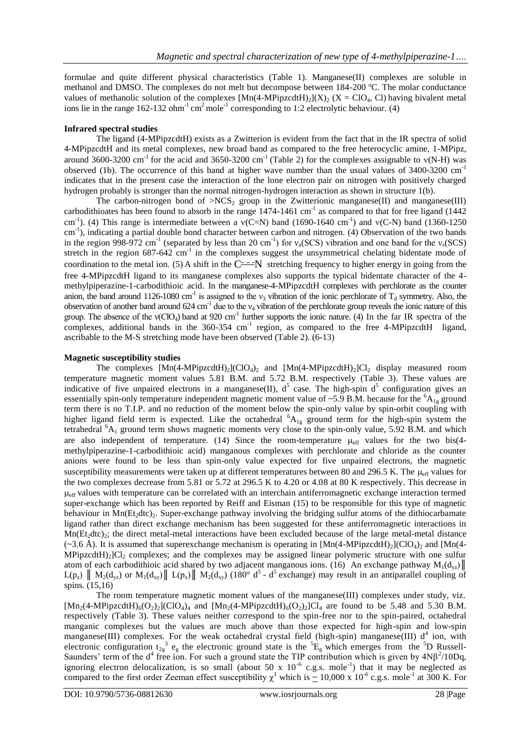formulae and quite different physical characteristics (Table 1). Manganese(II) complexes are soluble in methanol and DMSO. The complexes do not melt but decompose between 184-200 ºC. The molar conductance values of methanolic solution of the complexes  $[{\rm Mn}(4{\text -}M{\rm PipzcdtH})_2](X)_2$  (X = ClO<sub>4</sub>, Cl) having bivalent metal ions lie in the range  $162-132$  ohm<sup>-1</sup> cm<sup>2</sup> mole<sup>-1</sup> corresponding to 1:2 electrolytic behaviour. (4)

#### **Infrared spectral studies**

The ligand (4-MPipzcdtH) exists as a Zwitterion is evident from the fact that in the IR spectra of solid 4-MPipzcdtH and its metal complexes, new broad band as compared to the free heterocyclic amine, 1-MPipz, around 3600-3200 cm<sup>-1</sup> for the acid and 3650-3200 cm<sup>-1</sup> (Table 2) for the complexes assignable to  $v(N-H)$  was observed (1b). The occurrence of this band at higher wave number than the usual values of  $3400-3200$  cm<sup>-1</sup> indicates that in the present case the interaction of the lone electron pair on nitrogen with positively charged hydrogen probably is stronger than the normal nitrogen-hydrogen interaction as shown in structure 1(b).

The carbon-nitrogen bond of  $>NCS_2$  group in the Zwitterionic manganese(II) and manganese(III) carbodithioates has been found to absorb in the range  $1474-1461$  cm<sup>-1</sup> as compared to that for free ligand (1442) cm<sup>-1</sup>). (4) This range is intermediate between a  $v(C=N)$  band (1690-1640 cm<sup>-1</sup>) and  $v(C-N)$  band (1360-1250 cm<sup>-1</sup>), indicating a partial double bond character between carbon and nitrogen. (4) Observation of the two bands in the region 998-972 cm<sup>-1</sup> (separated by less than 20 cm<sup>-1</sup>) for  $v_a(SCS)$  vibration and one band for the  $v_s(SCS)$ stretch in the region  $687-642$  cm<sup>-1</sup> in the complexes suggest the unsymmetrical chelating bidentate mode of coordination to the metal ion. (5) A shift in the  $C^{\frac{1}{2}}$  stretching frequency to higher energy in going from the free 4-MPipzcdtH ligand to its manganese complexes also supports the typical bidentate character of the 4 methylpiperazine-1-carbodithioic acid. In the manganese-4-MPipzcdtH complexes with perchlorate as the counter anion, the band around 1126-1080 cm<sup>-1</sup> is assigned to the  $v_3$  vibration of the ionic perchlorate of T<sub>d</sub> symmetry. Also, the observation of another band around  $624 \text{ cm}^{-1}$  due to the  $v_4$  vibration of the perchlorate group reveals the ionic nature of this group. The absence of the  $v(CIO_4)$  band at 920 cm<sup>-1</sup> further supports the ionic nature. (4) In the far IR spectra of the complexes, additional bands in the  $360-354$  cm<sup>-1</sup> region, as compared to the free 4-MPipzcdtH ligand, ascribable to the M-S stretching mode have been observed (Table 2). (6-13)

#### **Magnetic susceptibility studies**

The complexes  $[Mn(4-MPipzcdtH)_2](ClO_4)_2$  and  $[Mn(4-MPipzcdtH)_2]Cl_2$  display measured room temperature magnetic moment values 5.81 B.M. and 5.72 B.M. respectively (Table 3). These values are indicative of five unpaired electrons in a manganese(II),  $d^5$  case. The high-spin  $d^5$  configuration gives an essentially spin-only temperature independent magnetic moment value of ~5.9 B.M. because for the  ${}^{6}A_{1g}$  ground term there is no T.I.P. and no reduction of the moment below the spin-only value by spin-orbit coupling with higher ligand field term is expected. Like the octahedral  ${}^{6}A_{1g}$  ground term for the high-spin system the tetrahedral  ${}^{6}A_1$  ground term shows magnetic moments very close to the spin-only value, 5.92 B.M. and which are also independent of temperature. (14) Since the room-temperature  $\mu_{eff}$  values for the two bis(4methylpiperazine-1-carbodithioic acid) manganous complexes with perchlorate and chloride as the counter anions were found to be less than spin-only value expected for five unpaired electrons, the magnetic susceptibility measurements were taken up at different temperatures between 80 and 296.5 K. The  $\mu_{eff}$  values for the two complexes decrease from 5.81 or 5.72 at 296.5 K to 4.20 or 4.08 at 80 K respectively. This decrease in  $\mu_{\text{eff}}$  values with temperature can be correlated with an interchain antiferromagnetic exchange interaction termed super-exchange which has been reported by Reiff and Eisman (15) to be responsible for this type of magnetic behaviour in  $Mn(Et_2dtc)_2$ . Super-exchange pathway involving the bridging sulfur atoms of the dithiocarbamate ligand rather than direct exchange mechanism has been suggested for these antiferromagnetic interactions in  $Mn(Et_2dtc)_2$ ; the direct metal-metal interactions have been excluded because of the large metal-metal distance  $(\sim 3.6 \text{ Å})$ . It is assumed that superexchange mechanism is operating in [Mn(4-MPipzcdtH)<sub>2</sub>](ClO<sub>4</sub>)<sub>2</sub> and [Mn(4- $MPipzcdtH<sub>2</sub>$  complexes; and the complexes may be assigned linear polymeric structure with one sulfur atom of each carbodithioic acid shared by two adjacent manganous ions. (16) An exchange pathway  $M_1(d_{vz})$  $L(p_z)$  ||  $M_2(d_{yz})$  or  $M_1(d_{xy})$ ||  $L(p_x)$ ||  $M_2(d_{xy})$  (180° d<sup>5</sup> - d<sup>5</sup> exchange) may result in an antiparallel coupling of spins. (15,16)

The room temperature magnetic moment values of the manganese(III) complexes under study, viz.  $[Mn_2(4-MPipzcdtH)_6(O_2)_2(CIO_4)_4$  and  $[Mn_2(4-MPipzcdtH)_6(O_2)_2]Cl_4$  are found to be 5.48 and 5.30 B.M. respectively (Table 3). These values neither correspond to the spin-free nor to the spin-paired, octahedral manganic complexes but the values are much above than those expected for high-spin and low-spin manganese(III) complexes. For the weak octahedral crystal field (high-spin) manganese(III)  $d^4$  ion, with electronic configuration  $t_{2g}^3$  e<sub>g</sub> the electronic ground state is the  ${}^5E_g$  which emerges from the <sup>5</sup>D Russell-Saunders' term of the  $d^4$  free ion. For such a ground state the TIP contribution which is given by  $4N\beta^2/10Dq$ , ignoring electron delocalization, is so small (about 50 x  $10^{-6}$  c.g.s. mole<sup>-1</sup>) that it may be neglected as compared to the first order Zeeman effect susceptibility  $\chi^1$  which is  $\sim 10,000 \times 10^{-6}$  c.g.s. mole<sup>-1</sup> at 300 K. For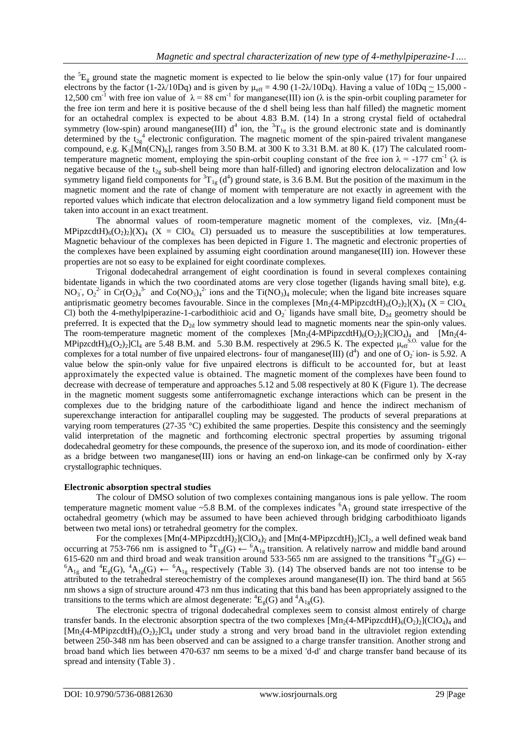the  ${}^{5}E_g$  ground state the magnetic moment is expected to lie below the spin-only value (17) for four unpaired electrons by the factor (1-2 $\lambda$ /10Dq) and is given by  $\mu_{\text{eff}} = 4.90$  (1-2 $\lambda$ /10Dq). Having a value of 10Dq ~ 15,000 -12,500 cm<sup>-1</sup> with free ion value of  $\lambda = 88$  cm<sup>-1</sup> for manganese(III) ion ( $\lambda$  is the spin-orbit coupling parameter for the free ion term and here it is positive because of the d shell being less than half filled) the magnetic moment for an octahedral complex is expected to be about 4.83 B.M. (14) In a strong crystal field of octahedral symmetry (low-spin) around manganese(III)  $d^4$  ion, the  ${}^3T_{1g}$  is the ground electronic state and is dominantly determined by the  $t_{2g}^4$  electronic configuration. The magnetic moment of the spin-paired trivalent manganese compound, e.g.  $K_3[Mn(CN)_6]$ , ranges from 3.50 B.M. at 300 K to 3.31 B.M. at 80 K. (17) The calculated roomtemperature magnetic moment, employing the spin-orbit coupling constant of the free ion  $\lambda = -177$  cm<sup>-1</sup> ( $\lambda$  is negative because of the  $t_{2g}$  sub-shell being more than half-filled) and ignoring electron delocalization and low symmetry ligand field components for  ${}^{3}T_{1g}$  (d<sup>4</sup>) ground state, is 3.6 B.M. But the position of the maximum in the magnetic moment and the rate of change of moment with temperature are not exactly in agreement with the reported values which indicate that electron delocalization and a low symmetry ligand field component must be taken into account in an exact treatment.

The abnormal values of room-temperature magnetic moment of the complexes, viz.  $[Mn<sub>2</sub>(4-1)$ MPipzcdtH)<sub>6</sub>(O<sub>2</sub>)<sub>2</sub>](X)<sub>4</sub> (X = ClO<sub>4</sub> Cl) persuaded us to measure the susceptibilities at low temperatures. Magnetic behaviour of the complexes has been depicted in Figure 1. The magnetic and electronic properties of the complexes have been explained by assuming eight coordination around manganese(III) ion. However these properties are not so easy to be explained for eight coordinate complexes.

Trigonal dodecahedral arrangement of eight coordination is found in several complexes containing bidentate ligands in which the two coordinated atoms are very close together (ligands having small bite), e.g. NO<sub>3</sub>, O<sub>2</sub><sup>2</sup> in Cr(O<sub>2</sub>)<sub>4</sub><sup>3</sup> and Co(NO<sub>3</sub>)<sub>4</sub><sup>2</sup> ions and the Ti(NO<sub>3</sub>)<sub>4</sub> molecule; when the ligand bite increases square antiprismatic geometry becomes favourable. Since in the complexes  $[Mn_2(4-MPipzcdH)_6(O_2)_2](X)_4$  (X = ClO<sub>4</sub>, Cl) both the 4-methylpiperazine-1-carbodithioic acid and  $O_2$  ligands have small bite,  $D_{2d}$  geometry should be preferred. It is expected that the  $D_{2d}$  low symmetry should lead to magnetic moments near the spin-only values. The room-temperature magnetic moment of the complexes  $[Mn_2(4-MPipzcdtH)_6(O_2)_2(CIO_4)_4]$  and  $[Mn_2(4-MPipzcdtH)_6(O_2)_2]$ MPipzcdtH)<sub>6</sub>(O<sub>2</sub>)<sub>2</sub>]Cl<sub>4</sub> are 5.48 B.M. and 5.30 B.M. respectively at 296.5 K. The expected  $\mu_{eff}^{S.O.}$  value for the complexes for a total number of five unpaired electrons- four of manganese(III)  $(d^4)$  and one of O<sub>2</sub> ion- is 5.92. A value below the spin-only value for five unpaired electrons is difficult to be accounted for, but at least approximately the expected value is obtained. The magnetic moment of the complexes have been found to decrease with decrease of temperature and approaches 5.12 and 5.08 respectively at 80 K (Figure 1). The decrease in the magnetic moment suggests some antiferromagnetic exchange interactions which can be present in the complexes due to the bridging nature of the carbodithioate ligand and hence the indirect mechanism of superexchange interaction for antiparallel coupling may be suggested. The products of several preparations at varying room temperatures (27-35 °C) exhibited the same properties. Despite this consistency and the seemingly valid interpretation of the magnetic and forthcoming electronic spectral properties by assuming trigonal dodecahedral geometry for these compounds, the presence of the superoxo ion, and its mode of coordination- either as a bridge between two manganese(III) ions or having an end-on linkage-can be confirmed only by X-ray crystallographic techniques.

#### **Electronic absorption spectral studies**

The colour of DMSO solution of two complexes containing manganous ions is pale yellow. The room temperature magnetic moment value  $\sim$  5.8 B.M. of the complexes indicates  ${}^{6}A_{1}$  ground state irrespective of the octahedral geometry (which may be assumed to have been achieved through bridging carbodithioato ligands between two metal ions) or tetrahedral geometry for the complex.

For the complexes  $[Mn(4-MPipzcdtH)<sub>2</sub>](ClO<sub>4</sub>)<sub>2</sub>$  and  $[Mn(4-MPipzcdtH)<sub>2</sub>](Cl<sub>2</sub>)<sub>2</sub>$ , a well defined weak band occurring at 753-766 nm is assigned to  ${}^{4}T_{1g}(G) \leftarrow {}^{6}A_{1g}$  transition. A relatively narrow and middle band around 615-620 nm and third broad and weak transition around 533-565 nm are assigned to the transitions  ${}^{4}T_{2g}(G) \leftarrow$  ${}^{6}A_{1g}$  and  ${}^{4}E_g(G)$ ,  ${}^{4}A_{1g}(G) \leftarrow {}^{6}A_{1g}$  respectively (Table 3). (14) The observed bands are not too intense to be attributed to the tetrahedral stereochemistry of the complexes around manganese(II) ion. The third band at 565 nm shows a sign of structure around 473 nm thus indicating that this band has been appropriately assigned to the transitions to the terms which are almost degenerate:  ${}^4E_e(G)$  and  ${}^4A_{1g}(G)$ .

The electronic spectra of trigonal dodecahedral complexes seem to consist almost entirely of charge transfer bands. In the electronic absorption spectra of the two complexes  $[Mn_2(4-MPipzcdtH)_6(O_2)_2]$ (ClO<sub>4</sub>)<sub>4</sub> and  $[Mn_2(4-MPipzcdtH)<sub>6</sub>(O<sub>2</sub>)<sub>2</sub>]Cl<sub>4</sub>$  under study a strong and very broad band in the ultraviolet region extending between 250-348 nm has been observed and can be assigned to a charge transfer transition. Another strong and broad band which lies between 470-637 nm seems to be a mixed 'd-d' and charge transfer band because of its spread and intensity (Table 3) .